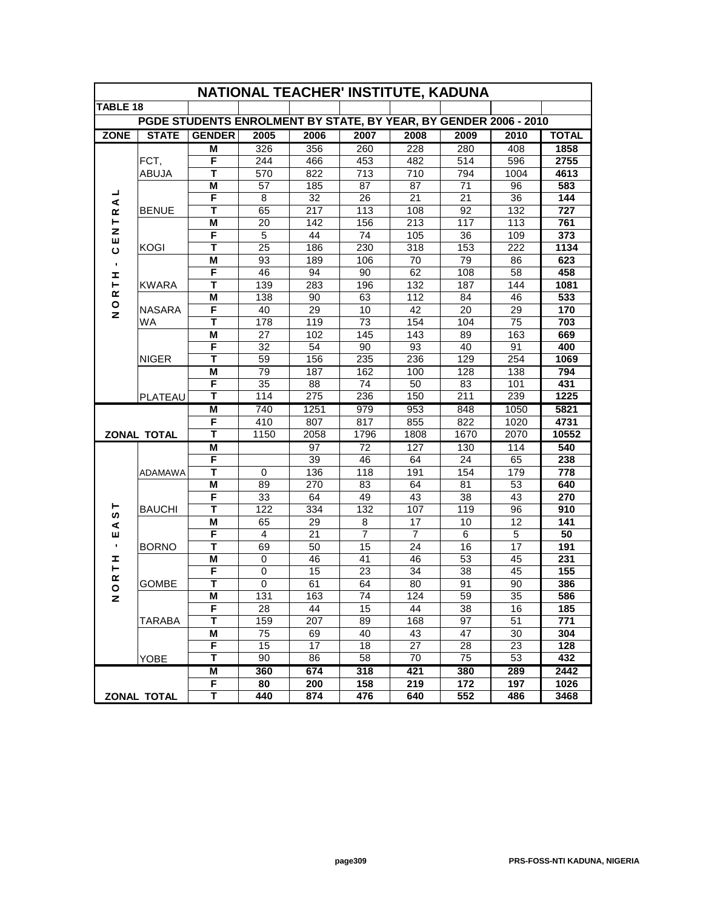| NATIONAL TEACHER' INSTITUTE, KADUNA                              |                    |                              |                  |                  |                |                |          |                  |              |
|------------------------------------------------------------------|--------------------|------------------------------|------------------|------------------|----------------|----------------|----------|------------------|--------------|
| <b>TABLE 18</b>                                                  |                    |                              |                  |                  |                |                |          |                  |              |
| PGDE STUDENTS ENROLMENT BY STATE, BY YEAR, BY GENDER 2006 - 2010 |                    |                              |                  |                  |                |                |          |                  |              |
| <b>ZONE</b>                                                      | <b>STATE</b>       | <b>GENDER</b>                | 2005             | 2006             | 2007           | 2008           | 2009     | 2010             | <b>TOTAL</b> |
|                                                                  |                    | М                            | 326              | 356              | 260            | 228            | 280      | 408              | 1858         |
|                                                                  | FCT,               | F                            | 244              | 466              | 453            | 482            | 514      | 596              | 2755         |
|                                                                  | ABUJA              | т                            | 570              | 822              | 713            | 710            | 794      | 1004             | 4613         |
|                                                                  |                    | M                            | 57               | 185              | 87             | 87             | 71       | 96               | 583          |
| ┙<br>$\blacktriangleleft$                                        |                    | F                            | 8                | 32               | 26             | 21             | 21       | 36               | 144          |
| $\underline{\alpha}$                                             | <b>BENUE</b>       | T                            | 65               | 217              | 113            | 108            | 92       | 132              | 727          |
| ⊢                                                                |                    | $\overline{\mathsf{M}}$      | $\overline{20}$  | 142              | 156            | 213            | 117      | $\overline{113}$ | 761          |
| z                                                                |                    | F                            | 5                | 44               | 74             | 105            | 36       | 109              | 373          |
| ш<br>ပ                                                           | <b>KOGI</b>        | T                            | 25               | 186              | 230            | 318            | 153      | 222              | 1134         |
| $\blacksquare$                                                   |                    | M                            | 93               | 189              | 106            | 70             | 79       | 86               | 623          |
| I                                                                |                    | F                            | 46               | 94               | 90             | 62             | 108      | 58               | 458          |
| ⊢                                                                | <b>KWARA</b>       | T                            | 139              | 283              | 196            | 132            | 187      | $\overline{144}$ | 1081         |
| œ                                                                |                    | M                            | 138              | 90               | 63             | 112            | 84       | 46               | 533          |
| $\mathsf{o}$<br>$\overline{z}$                                   | <b>NASARA</b>      | F                            | 40               | 29               | 10             | 42             | 20       | 29               | 170          |
|                                                                  | <b>WA</b>          | T                            | 178              | 119              | 73             | 154            | 104      | 75               | 703          |
|                                                                  |                    | M                            | 27               | 102              | 145            | 143            | 89       | 163              | 669          |
|                                                                  |                    | F                            | 32               | 54               | 90             | 93             | 40       | 91               | 400          |
|                                                                  | <b>NIGER</b>       | Т                            | 59               | 156              | 235            | 236            | 129      | 254              | 1069         |
|                                                                  |                    | M                            | 79               | 187              | 162            | 100            | 128      | 138              | 794          |
|                                                                  |                    | F                            | 35               | 88               | 74             | 50             | 83       | 101              | 431          |
|                                                                  | PLATEAU            | т                            | 114              | $\overline{275}$ | 236            | 150            | 211      | 239              | 1225         |
|                                                                  |                    | M                            | 740              | 1251             | 979            | 953            | 848      | 1050             | 5821         |
|                                                                  |                    | F                            | 410              | 807              | 817            | 855            | 822      | 1020             | 4731         |
|                                                                  | <b>ZONAL TOTAL</b> | т                            | 1150             | 2058             | 1796           | 1808           | 1670     | 2070             | 10552        |
|                                                                  | ADAMAWA            | M                            |                  | 97               | 72             | 127            | 130      | 114              | 540          |
|                                                                  |                    | F                            |                  | 39               | 46             | 64             | 24       | 65               | 238          |
|                                                                  |                    | T                            | 0                | 136              | 118            | 191            | 154      | 179              | 778          |
|                                                                  |                    | M                            | 89               | 270              | 83             | 64             | 81       | 53               | 640          |
|                                                                  |                    | F                            | 33               | 64               | 49             | 43             | 38       | 43               | 270          |
| ⊢<br>ທ                                                           | <b>BAUCHI</b>      | T                            | 122              | 334              | 132            | 107            | 119      | 96               | 910          |
| ⋖                                                                |                    | M                            | 65               | 29               | 8              | 17             | 10       | 12               | 141          |
| Ш                                                                |                    | F                            | 4                | 21               | $\overline{7}$ | $\overline{7}$ | 6        | 5                | 50           |
| $\blacksquare$                                                   | <b>BORNO</b>       | T                            | 69               | 50               | 15             | 24             | 16       | 17               | 191          |
| I<br>۳                                                           |                    | M                            | 0                | 46               | 41             | 46             | 53       | 45               | 231          |
| $\underline{\alpha}$                                             |                    | F<br>$\overline{\mathsf{T}}$ | $\mathbf 0$      | 15               | 23             | 34             | 38       | 45               | 155          |
| $\circ$                                                          | <b>GOMBE</b>       |                              | 0                | 61               | 64             | 80             | 91       | 90               | 386          |
| z                                                                |                    | M                            | $\overline{131}$ | 163              | 74             | 124            | 59       | 35               | 586          |
|                                                                  | <b>TARABA</b>      | F                            | 28               | 44<br>207        | 15             | 44             | 38       | 16               | 185<br>771   |
|                                                                  |                    | Τ<br>M                       | 159<br>75        | 69               | 89<br>40       | 168<br>43      | 97<br>47 | 51<br>30         | 304          |
|                                                                  |                    | F                            | 15               | 17               | 18             | 27             | 28       | 23               | 128          |
|                                                                  | <b>YOBE</b>        | Τ                            | 90               | 86               | 58             | 70             | 75       | 53               | 432          |
|                                                                  |                    | M                            | 360              | 674              | 318            | 421            | 380      | 289              | 2442         |
|                                                                  |                    | F                            | 80               | 200              | 158            | 219            | 172      | 197              | 1026         |
|                                                                  |                    | Т                            | 440              | 874              | 476            | 640            | 552      | 486              | 3468         |
| <b>ZONAL TOTAL</b>                                               |                    |                              |                  |                  |                |                |          |                  |              |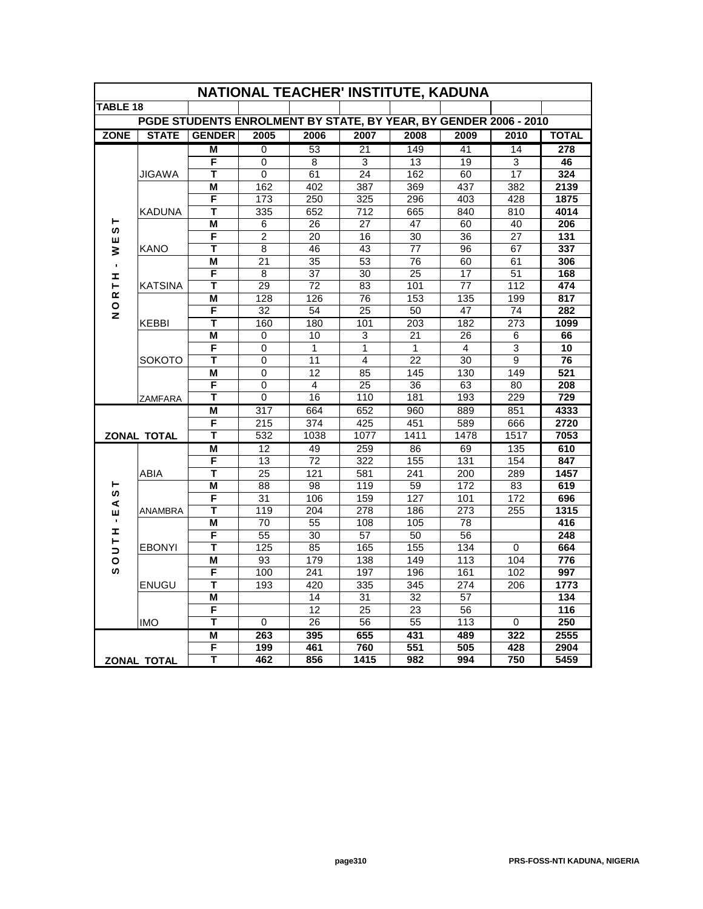| NATIONAL TEACHER' INSTITUTE, KADUNA                              |                            |                         |                 |                 |                         |                  |                  |                |                  |
|------------------------------------------------------------------|----------------------------|-------------------------|-----------------|-----------------|-------------------------|------------------|------------------|----------------|------------------|
| <b>TABLE 18</b>                                                  |                            |                         |                 |                 |                         |                  |                  |                |                  |
| PGDE STUDENTS ENROLMENT BY STATE, BY YEAR, BY GENDER 2006 - 2010 |                            |                         |                 |                 |                         |                  |                  |                |                  |
| <b>ZONE</b>                                                      | <b>STATE</b>               | <b>GENDER</b>           | 2005            | 2006            | 2007                    | 2008             | 2009             | 2010           | <b>TOTAL</b>     |
|                                                                  |                            | М                       | 0               | 53              | 21                      | 149              | 41               | 14             | 278              |
|                                                                  |                            | F                       | 0               | 8               | 3                       | 13               | 19               | $\overline{3}$ | 46               |
|                                                                  | JIGAWA                     | т                       | 0               | 61              | 24                      | 162              | 60               | 17             | 324              |
|                                                                  |                            | M                       | 162             | 402             | 387                     | 369              | 437              | 382            | 2139             |
|                                                                  | <b>KADUNA</b>              | F                       | 173             | 250             | 325                     | 296              | 403              | 428            | 1875             |
|                                                                  |                            | T                       | 335             | 652             | 712                     | 665              | 840              | 810            | 4014             |
| ⊢<br>ဖာ                                                          |                            | M                       | 6               | 26              | 27                      | 47               | 60               | 40             | 206              |
| ш                                                                |                            | F                       | $\overline{2}$  | 20              | 16                      | 30               | 36               | 27             | 131              |
| ₹                                                                | KANO                       | Т                       | 8               | 46              | 43                      | 77               | 96               | 67             | 337              |
| $\blacksquare$                                                   |                            | M                       | $\overline{21}$ | 35              | $\overline{53}$         | 76               | 60               | 61             | 306              |
| Ŧ,                                                               |                            | F                       | 8               | $\overline{37}$ | 30                      | 25               | $\overline{17}$  | 51             | 168              |
| ⊢                                                                | <b>KATSINA</b>             | T                       | 29              | 72              | 83                      | 101              | 77               | 112            | 474              |
| $\propto$<br>$\circ$                                             |                            | M                       | 128             | 126             | 76                      | 153              | 135              | 199            | 817              |
| z                                                                |                            | F                       | 32              | 54              | 25                      | 50               | 47               | 74             | 282              |
|                                                                  | <b>KEBBI</b>               | т                       | 160             | 180             | 101                     | $\overline{203}$ | 182              | 273            | 1099             |
|                                                                  | <b>SOKOTO</b>              | M                       | 0               | 10              | $\overline{3}$          | $\overline{21}$  | $\overline{26}$  | 6              | 66               |
|                                                                  |                            | F                       | 0               | $\mathbf{1}$    | 1                       | $\mathbf{1}$     | 4                | $\overline{3}$ | 10               |
|                                                                  |                            | T                       | 0               | 11              | $\overline{\mathbf{4}}$ | 22               | $\overline{30}$  | 9              | 76               |
|                                                                  | <b>ZAMFARA</b>             | M                       | 0               | 12              | 85                      | 145              | 130              | 149            | 521              |
|                                                                  |                            | F                       | 0               | 4               | $\overline{25}$         | $\overline{36}$  | 63               | 80             | 208              |
|                                                                  |                            | Т                       | 0               | 16              | 110                     | 181              | 193              | 229            | 729              |
|                                                                  |                            | M                       | 317             | 664             | 652                     | 960              | 889              | 851            | 4333             |
|                                                                  |                            | F                       | 215             | 374             | 425                     | 451              | 589              | 666            | 2720             |
| <b>ZONAL TOTAL</b>                                               |                            | T                       | 532             | 1038            | 1077                    | 1411             | 1478             | 1517           | 7053             |
|                                                                  | <b>ABIA</b>                | M                       | 12              | 49              | 259                     | 86               | 69               | 135            | 610              |
|                                                                  |                            | F                       | $\overline{13}$ | $\overline{72}$ | 322                     | 155              | 131              | 154            | 847              |
| ⊢                                                                |                            | т                       | 25              | 121<br>98       | 581                     | 241              | 200              | 289            | 1457             |
| S)                                                               | ANAMBRA<br><b>EBONYI</b>   | M<br>F                  | 88<br>31        | 106             | 119<br>159              | 59<br>127        | 172<br>101       | 83<br>172      | 619<br>696       |
| ⋖                                                                |                            | T                       | 119             | 204             | $\overline{278}$        | 186              | $\overline{273}$ | 255            | 1315             |
| Ш<br>$\blacksquare$                                              |                            | M                       | 70              | 55              | 108                     | 105              | 78               |                | 416              |
| I                                                                |                            | F                       | 55              | $\overline{30}$ | 57                      | 50               | 56               |                | 248              |
| ⊢                                                                |                            | $\overline{\mathsf{r}}$ | 125             | 85              | 165                     | 155              | 134              | 0              | 664              |
| $\overline{\phantom{a}}$<br>$\circ$                              |                            | M                       | 93              | 179             | 138                     | 149              | 113              | 104            | 776              |
| <b>ທ</b>                                                         |                            | $\overline{\mathsf{F}}$ | 100             | 241             | 197                     | 196              | 161              | 102            | 997              |
|                                                                  | <b>ENUGU</b><br><b>IMO</b> | T                       | 193             | 420             | 335                     | 345              | 274              | 206            | 1773             |
|                                                                  |                            | M                       |                 | 14              | $\overline{31}$         | $\overline{32}$  | 57               |                | $\overline{134}$ |
|                                                                  |                            | F                       |                 | $\overline{12}$ | $\overline{25}$         | 23               | 56               |                | 116              |
|                                                                  |                            | T                       | 0               | $\overline{26}$ | $\overline{56}$         | $\overline{55}$  | 113              | 0              | 250              |
|                                                                  |                            | M                       | 263             | 395             | 655                     | 431              | 489              | 322            | 2555             |
|                                                                  |                            | F                       | 199             | 461             | 760                     | 551              | 505              | 428            | 2904             |
| ZONAL TOTAL                                                      |                            | т                       | 462             | 856             | 1415                    | 982              | 994              | 750            | 5459             |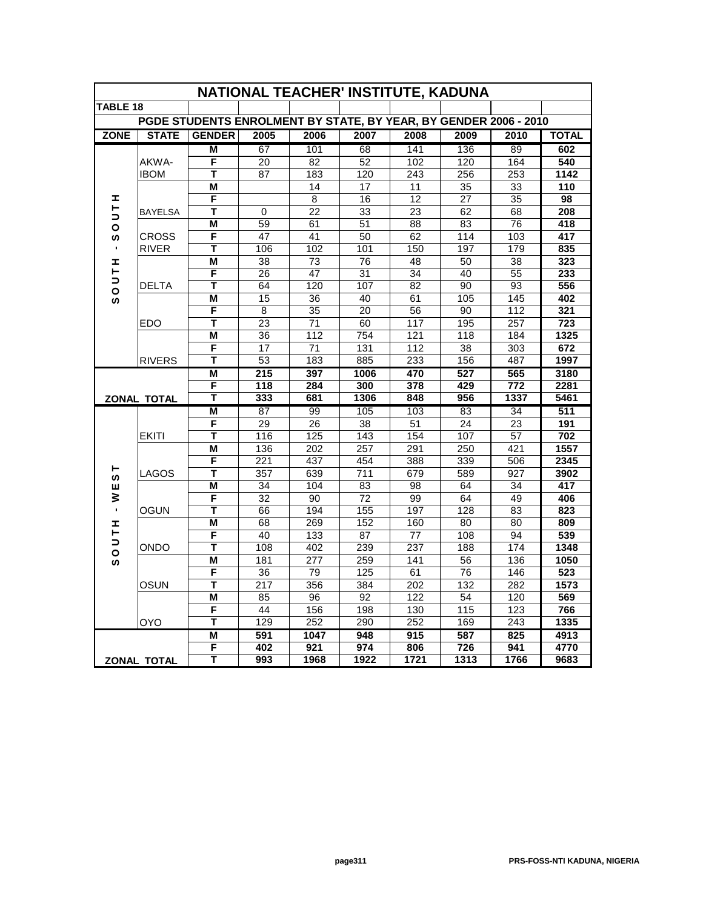| NATIONAL TEACHER' INSTITUTE, KADUNA                              |                      |                         |                  |                 |                  |                 |                 |                  |                  |
|------------------------------------------------------------------|----------------------|-------------------------|------------------|-----------------|------------------|-----------------|-----------------|------------------|------------------|
| <b>TABLE 18</b>                                                  |                      |                         |                  |                 |                  |                 |                 |                  |                  |
| PGDE STUDENTS ENROLMENT BY STATE, BY YEAR, BY GENDER 2006 - 2010 |                      |                         |                  |                 |                  |                 |                 |                  |                  |
| <b>ZONE</b>                                                      | <b>STATE</b>         | <b>GENDER</b>           | 2005             | 2006            | 2007             | 2008            | 2009            | 2010             | <b>TOTAL</b>     |
|                                                                  |                      | М                       | 67               | 101             | 68               | 141             | 136             | 89               | 602              |
|                                                                  | AKWA-                | F                       | 20               | 82              | 52               | 102             | 120             | 164              | 540              |
|                                                                  | <b>IBOM</b>          | Т                       | 87               | 183             | 120              | 243             | 256             | 253              | 1142             |
|                                                                  |                      | M                       |                  | 14              | 17               | 11              | 35              | 33               | 110              |
| I                                                                |                      | F                       |                  | 8               | 16               | 12              | $\overline{27}$ | 35               | 98               |
| ۳                                                                | <b>BAYELSA</b>       | Т                       | 0                | $\overline{22}$ | $\overline{33}$  | $\overline{23}$ | 62              | 68               | 208              |
| ∍<br>$\circ$                                                     |                      | M                       | 59               | 61              | 51               | 88              | 83              | $\overline{76}$  | 418              |
| ဖာ                                                               | <b>CROSS</b>         | F                       | 47               | 41              | 50               | 62              | 114             | 103              | 417              |
|                                                                  | <b>RIVER</b>         | T                       | 106              | 102             | 101              | 150             | 197             | 179              | 835              |
| Ŧ,                                                               |                      | M                       | 38               | 73              | 76               | 48              | 50              | 38               | 323              |
| H                                                                |                      | F                       | 26               | 47              | 31               | 34              | 40              | $\overline{55}$  | 233              |
| ⊃<br>$\circ$                                                     | <b>DELTA</b>         | T                       | 64               | 120             | 107              | 82              | 90              | 93               | 556              |
| ဖာ                                                               |                      | M                       | $\overline{15}$  | 36              | 40               | 61              | 105             | 145              | 402              |
|                                                                  |                      | F                       | 8                | 35              | 20               | 56              | 90              | 112              | 321              |
|                                                                  | <b>EDO</b>           | T                       | $\overline{23}$  | 71              | 60               | 117             | 195             | 257              | $\overline{723}$ |
|                                                                  |                      | M                       | $\overline{36}$  | 112             | $\overline{754}$ | 121             | 118             | 184              | 1325             |
|                                                                  |                      | F                       | 17               | 71              | 131              | 112             | 38              | $\overline{303}$ | 672              |
|                                                                  | <b>RIVERS</b>        | T                       | 53               | 183             | 885              | 233             | 156             | 487              | 1997             |
|                                                                  |                      | M                       | 215              | 397             | 1006             | 470             | 527             | 565              | 3180             |
|                                                                  |                      | $\overline{\mathsf{F}}$ | $\overline{118}$ | 284             | 300              | 378             | 429             | $\overline{772}$ | 2281             |
|                                                                  | <b>ZONAL TOTAL</b>   | T                       | 333              | 681             | 1306             | 848             | 956             | 1337             | 5461             |
|                                                                  | <b>EKITI</b>         | M                       | 87               | 99              | 105              | 103             | 83              | 34               | 511              |
|                                                                  |                      | F                       | 29               | 26              | 38               | 51              | 24              | $\overline{23}$  | 191              |
|                                                                  |                      | Т                       | 116              | 125             | 143              | 154             | 107             | 57               | 702              |
|                                                                  | <b>LAGOS</b><br>OGUN | M                       | 136              | 202             | 257              | 291             | 250             | 421              | 1557             |
|                                                                  |                      | F                       | 221              | 437             | 454              | 388             | 339             | 506              | 2345             |
| ⊢<br>ဖာ                                                          |                      | Т                       | $\overline{357}$ | 639             | $\overline{711}$ | 679             | 589             | $\overline{927}$ | 3902             |
| ш                                                                |                      | M                       | 34               | 104             | 83               | 98              | 64              | 34               | 417              |
| ₹                                                                |                      | F                       | 32               | 90              | 72               | 99              | 64              | 49               | 406              |
| $\blacksquare$                                                   |                      | T                       | 66               | 194             | 155              | 197             | 128             | 83               | 823              |
| Ŧ,                                                               |                      | M                       | 68               | 269             | 152              | 160             | 80              | 80               | 809              |
| Н<br>$\overline{\phantom{a}}$                                    |                      | F                       | 40               | 133             | 87               | 77              | 108             | 94               | 539              |
| $\overline{\mathbf{o}}$                                          | <b>ONDO</b>          | T                       | 108              | 402             | 239              | 237             | 188             | 174              | 1348             |
| ဖ                                                                |                      | M                       | 181              | 277             | 259              | 141             | 56              | 136              | 1050             |
|                                                                  |                      | F                       | 36               | 79              | 125              | 61              | 76              | $\overline{146}$ | 523              |
|                                                                  | OSUN                 | T                       | 217              | 356             | 384              | 202             | 132             | 282              | 1573             |
|                                                                  |                      | M                       | 85               | 96              | 92               | 122             | $\overline{54}$ | 120              | 569              |
|                                                                  |                      | F                       | 44               | 156             | 198              | 130             | 115             | 123              | 766              |
|                                                                  | <b>OYO</b>           | Τ                       | 129              | 252             | 290              | 252             | 169             | 243              | 1335             |
|                                                                  |                      | M                       | 591              | 1047            | 948              | 915             | 587             | 825              | 4913             |
|                                                                  |                      | F                       | 402              | 921             | 974              | 806             | 726             | 941              | 4770             |
| <b>ZONAL TOTAL</b>                                               |                      | т                       | 993              | 1968            | 1922             | 1721            | 1313            | 1766             | 9683             |